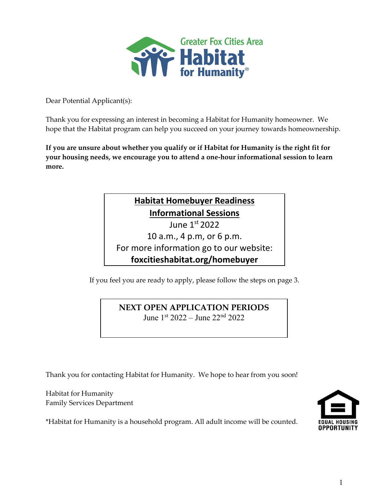

Dear Potential Applicant(s):

Thank you for expressing an interest in becoming a Habitat for Humanity homeowner. We hope that the Habitat program can help you succeed on your journey towards homeownership.

**If you are unsure about whether you qualify or if Habitat for Humanity is the right fit for your housing needs, we encourage you to attend a one-hour informational session to learn more.** 

# **Habitat Homebuyer Readiness Informational Sessions** June 1st 2022 10 a.m., 4 p.m, or 6 p.m. For more information go to our website: **foxcitieshabitat.org/homebuyer**

If you feel you are ready to apply, please follow the steps on page 3.

## **NEXT OPEN APPLICATION PERIODS**  June 1st 2022 – June 22nd 2022

Thank you for contacting Habitat for Humanity. We hope to hear from you soon!

Habitat for Humanity Family Services Department

\*Habitat for Humanity is a household program. All adult income will be counted.

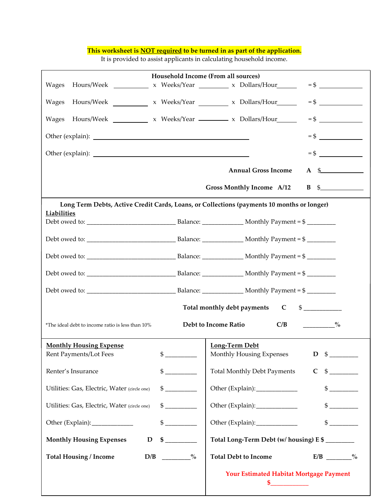#### **This worksheet is NOT required to be turned in as part of the application.**

It is provided to assist applicants in calculating household income.

| Household Income (From all sources)                                                                             |                                                                        |  |  |
|-----------------------------------------------------------------------------------------------------------------|------------------------------------------------------------------------|--|--|
| Hours/Week _____________ x Weeks/Year __________ x Dollars/Hour_______<br><b>Wages</b>                          |                                                                        |  |  |
| Wages                                                                                                           |                                                                        |  |  |
| <b>Wages</b><br>Hours/Week x Weeks/Year x Dollars/Hour                                                          |                                                                        |  |  |
|                                                                                                                 |                                                                        |  |  |
|                                                                                                                 | $=$ \$                                                                 |  |  |
|                                                                                                                 | <b>Annual Gross Income</b><br>$A \quad$                                |  |  |
|                                                                                                                 | <b>Gross Monthly Income A/12</b><br>$\mathbf{B} \quad \mathbf{\$}$     |  |  |
| Long Term Debts, Active Credit Cards, Loans, or Collections (payments 10 months or longer)                      |                                                                        |  |  |
| <b>Liabilities</b>                                                                                              |                                                                        |  |  |
|                                                                                                                 |                                                                        |  |  |
|                                                                                                                 |                                                                        |  |  |
|                                                                                                                 |                                                                        |  |  |
|                                                                                                                 |                                                                        |  |  |
|                                                                                                                 |                                                                        |  |  |
| Total monthly debt payments C \$__________                                                                      |                                                                        |  |  |
| Debt to Income Ratio<br>C/B<br>$\sim$ $\sim$ $\sim$ $\sim$<br>*The ideal debt to income ratio is less than 10%  |                                                                        |  |  |
| <b>Monthly Housing Expense</b>                                                                                  | Long-Term Debt                                                         |  |  |
| \$<br>Rent Payments/Lot Fees                                                                                    | Monthly Housing Expenses $D \quad$ $\text{\AA}$                        |  |  |
| Renter's Insurance<br>$\begin{array}{c} \updownarrow \\ \downarrow \end{array}$                                 | $\frac{1}{2}$<br><b>Total Monthly Debt Payments</b><br>$\mathbf{C}$    |  |  |
| $\begin{array}{c} \circ \\ \circ \\ \circ \\ \circ \end{array}$<br>Utilities: Gas, Electric, Water (circle one) | Other (Explain):______________<br>$\frac{1}{2}$                        |  |  |
| $\frac{1}{2}$<br>Utilities: Gas, Electric, Water (circle one)                                                   | Other (Explain):______________<br>$\sim$                               |  |  |
| $\frac{1}{2}$<br>Other (Explain): _____________                                                                 | $\mathbb{S}$<br>Other (Explain):_____________                          |  |  |
| $\sim$<br><b>Monthly Housing Expenses</b><br>$\mathbf D$                                                        | Total Long-Term Debt (w/ housing) E \$                                 |  |  |
| <b>Total Housing / Income</b><br>D/B<br>$\sim$ $\sim$ $\sim$ $\sim$                                             | <b>Total Debt to Income</b><br>$E/B$ $\qquad \qquad \frac{9}{6}$       |  |  |
|                                                                                                                 | Your Estimated Habitat Mortgage Payment<br><u> 1999 - Alban III, p</u> |  |  |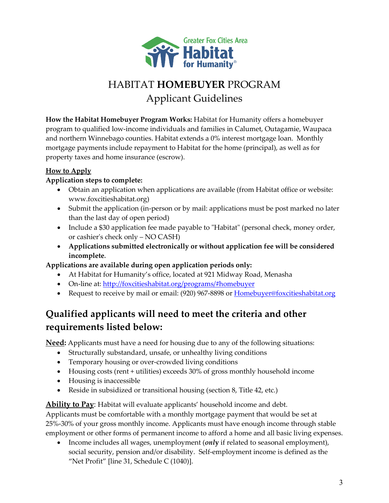

# HABITAT **HOMEBUYER** PROGRAM Applicant Guidelines

**How the Habitat Homebuyer Program Works:** Habitat for Humanity offers a homebuyer program to qualified low-income individuals and families in Calumet, Outagamie, Waupaca and northern Winnebago counties. Habitat extends a 0% interest mortgage loan. Monthly mortgage payments include repayment to Habitat for the home (principal), as well as for property taxes and home insurance (escrow).

### **How to Apply**

### **Application steps to complete:**

- Obtain an application when applications are available (from Habitat office or website: www.foxcitieshabitat.org)
- Submit the application (in-person or by mail: applications must be post marked no later than the last day of open period)
- Include a \$30 application fee made payable to "Habitat" (personal check, money order, or cashier's check only – NO CASH)
- **Applications submitted electronically or without application fee will be considered incomplete***.*

### **Applications are available during open application periods only:**

- At Habitat for Humanity's office, located at 921 Midway Road, Menasha
- On-line at:<http://foxcitieshabitat.org/programs/#homebuyer>
- Request to receive by mail or email: (920) 967-8898 or **Homebuyer**@foxcitieshabitat.org

# **Qualified applicants will need to meet the criteria and other requirements listed below:**

**Need:** Applicants must have a need for housing due to any of the following situations:

- Structurally substandard, unsafe, or unhealthy living conditions
- Temporary housing or over-crowded living conditions
- Housing costs (rent + utilities) exceeds 30% of gross monthly household income
- Housing is inaccessible
- Reside in subsidized or transitional housing (section 8, Title 42, etc.)

**Ability to Pay**: Habitat will evaluate applicants' household income and debt.

Applicants must be comfortable with a monthly mortgage payment that would be set at 25%-30% of your gross monthly income. Applicants must have enough income through stable employment or other forms of permanent income to afford a home and all basic living expenses.

• Income includes all wages, unemployment (*onl***y** if related to seasonal employment), social security, pension and/or disability. Self-employment income is defined as the "Net Profit" [line 31, Schedule C (1040)].